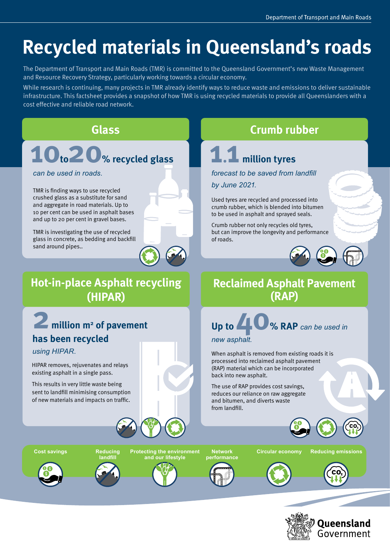## **Recycled materials in Queensland's roads**

The Department of Transport and Main Roads (TMR) is committed to the Queensland Government's new Waste Management and Resource Recovery Strategy, particularly working towards a circular economy.

While research is continuing, many projects in TMR already identify ways to reduce waste and emissions to deliver sustainable infrastructure. This factsheet provides a snapshot of how TMR is using recycled materials to provide all Queenslanders with a cost effective and reliable road network.

## **10to20% recycled glass 1.1 million tyres**

**Hot-in-place Asphalt recycling (HIPAR)**

TMR is finding ways to use recycled crushed glass as a substitute for sand and aggregate in road materials. Up to 10 per cent can be used in asphalt bases and up to 20 per cent in gravel bases.

TMR is investigating the use of recycled glass in concrete, as bedding and backfill sand around pipes..

HIPAR removes, rejuvenates and relays existing asphalt in a single pass. This results in very little waste being sent to landfill minimising consumption of new materials and impacts on traffic.

**has been recycled**

**2 million m2 of pavement**



## **Glass Crumb rubber**

*can be used in roads. forecast to be saved from landfill by June 2021.*

> Used tyres are recycled and processed into crumb rubber, which is blended into bitumen to be used in asphalt and sprayed seals.

Crumb rubber not only recycles old tyres, but can improve the longevity and performance of roads.



## **Reclaimed Asphalt Pavement (RAP)**

## *new asphalt.*  **Up to 40% RAP** *can be used in*

When asphalt is removed from existing roads it is processed into reclaimed asphalt pavement (RAP) material which can be incorporated back into new asphalt.

The use of RAP provides cost savings, reduces our reliance on raw aggregate and bitumen, and diverts waste from landfill.



*using HIPAR.*

**Cost savings Network Protecting the environment Circular economy Reducing emissions**